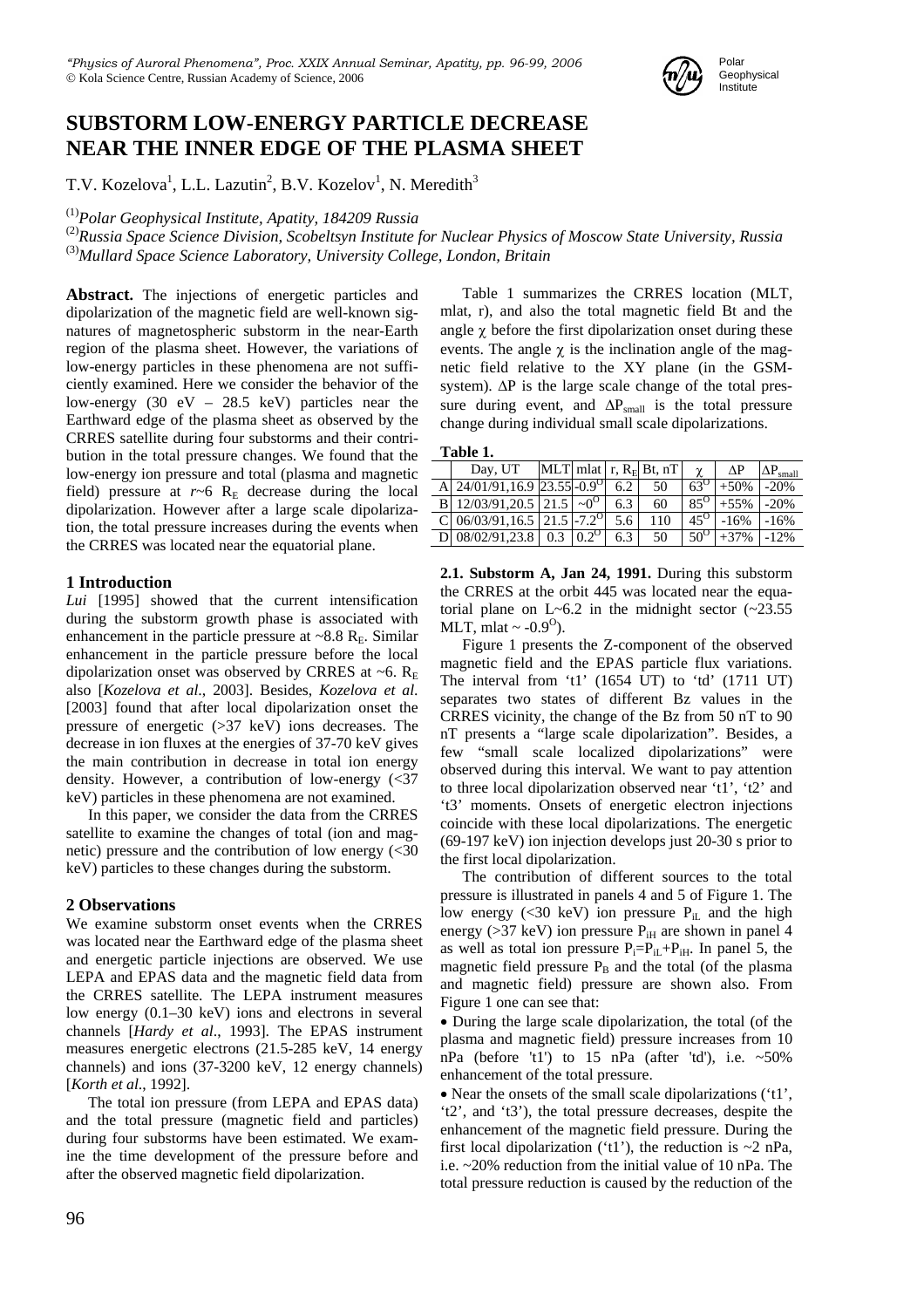

# **SUBSTORM LOW-ENERGY PARTICLE DECREASE NEAR THE INNER EDGE OF THE PLASMA SHEET**

T.V. Kozelova<sup>1</sup>, L.L. Lazutin<sup>2</sup>, B.V. Kozelov<sup>1</sup>, N. Meredith<sup>3</sup>

<sup>(1)</sup>Polar Geophysical Institute, Apatity, 184209 Russia<br><sup>(2)</sup>Russia Space Science Division, Scobeltsyn Institute for Nuclear Physics of Moscow State University, Russia (3)*Mullard Space Science Laboratory, University College, London, Britain*

Abstract. The injections of energetic particles and dipolarization of the magnetic field are well-known signatures of magnetospheric substorm in the near-Earth region of the plasma sheet. However, the variations of low-energy particles in these phenomena are not sufficiently examined. Here we consider the behavior of the low-energy (30 eV – 28.5 keV) particles near the Earthward edge of the plasma sheet as observed by the CRRES satellite during four substorms and their contribution in the total pressure changes. We found that the low-energy ion pressure and total (plasma and magnetic field) pressure at  $r \sim 6$  R<sub>E</sub> decrease during the local dipolarization. However after a large scale dipolarization, the total pressure increases during the events when the CRRES was located near the equatorial plane.

## **1 Introduction**

*Lui* [1995] showed that the current intensification during the substorm growth phase is associated with enhancement in the particle pressure at  $\sim 8.8$  R<sub>E</sub>. Similar enhancement in the particle pressure before the local dipolarization onset was observed by CRRES at ~6.  $R<sub>E</sub>$ also [*Kozelova et al*., 2003]. Besides, *Kozelova et al*. [2003] found that after local dipolarization onset the pressure of energetic (>37 keV) ions decreases. The decrease in ion fluxes at the energies of 37-70 keV gives the main contribution in decrease in total ion energy density. However, a contribution of low-energy (<37 keV) particles in these phenomena are not examined.

In this paper, we consider the data from the CRRES satellite to examine the changes of total (ion and magnetic) pressure and the contribution of low energy  $\left( \langle 30 \rangle \right)$ keV) particles to these changes during the substorm.

## **2 Observations**

We examine substorm onset events when the CRRES was located near the Earthward edge of the plasma sheet and energetic particle injections are observed. We use LEPA and EPAS data and the magnetic field data from the CRRES satellite. The LEPA instrument measures low energy (0.1–30 keV) ions and electrons in several channels [*Hardy et al*., 1993]. The EPAS instrument measures energetic electrons (21.5-285 keV, 14 energy channels) and ions (37-3200 keV, 12 energy channels) [*Korth et al*., 1992].

The total ion pressure (from LEPA and EPAS data) and the total pressure (magnetic field and particles) during four substorms have been estimated. We examine the time development of the pressure before and after the observed magnetic field dipolarization.

Table 1 summarizes the CRRES location (MLT, mlat, r), and also the total magnetic field Bt and the angle  $\chi$  before the first dipolarization onset during these events. The angle  $\gamma$  is the inclination angle of the magnetic field relative to the XY plane (in the GSMsystem). ∆P is the large scale change of the total pressure during event, and  $\Delta P_{small}$  is the total pressure change during individual small scale dipolarizations.

| .`able |  |
|--------|--|
|        |  |

| TUNIL TI |                                         |  |  |     |                                 |            |        |                    |  |
|----------|-----------------------------------------|--|--|-----|---------------------------------|------------|--------|--------------------|--|
|          | Day, UT                                 |  |  |     | MLT mlat $\mid$ r, $R_E$ Bt, nT | $\sim$     |        | $\Delta P_{small}$ |  |
|          | 24/01/91,16.9 23.55 - 0.9 <sup>0</sup>  |  |  | 6.2 | 50                              | $63^\circ$ | $+50%$ | $-20%$             |  |
|          | B 12/03/91.20.5 21.5                    |  |  | 6.3 | 60                              | $85^\circ$ | $+55%$ | $-20%$             |  |
|          | C 06/03/91, 16.5 21.5 -7.2 <sup>0</sup> |  |  | 5.6 | 110                             | $45^\circ$ | $-16%$ | $-16%$             |  |
|          | D 08/02/91.23.8                         |  |  | 6.3 | 50                              | $50^\circ$ | $+37%$ | $-12%$             |  |

**2.1. Substorm A, Jan 24, 1991.** During this substorm the CRRES at the orbit 445 was located near the equatorial plane on  $L \sim 6.2$  in the midnight sector  $(\sim 23.55$ MLT, mlat  $\sim$  -0.9<sup>0</sup>).

Figure 1 presents the Z-component of the observed magnetic field and the EPAS particle flux variations. The interval from 't1' (1654 UT) to 'td' (1711 UT) separates two states of different Bz values in the CRRES vicinity, the change of the Bz from 50 nT to 90 nT presents a "large scale dipolarization". Besides, a few "small scale localized dipolarizations" were observed during this interval. We want to pay attention to three local dipolarization observed near 't1', 't2' and 't3' moments. Onsets of energetic electron injections coincide with these local dipolarizations. The energetic (69-197 keV) ion injection develops just 20-30 s prior to the first local dipolarization.

The contribution of different sources to the total pressure is illustrated in panels 4 and 5 of Figure 1. The low energy (<30 keV) ion pressure  $P_{iL}$  and the high energy ( $>37$  keV) ion pressure P<sub>iH</sub> are shown in panel 4 as well as total ion pressure  $P_i = P_{iL} + P_{iH}$ . In panel 5, the magnetic field pressure  $P_B$  and the total (of the plasma and magnetic field) pressure are shown also. From Figure 1 one can see that:

• During the large scale dipolarization, the total (of the plasma and magnetic field) pressure increases from 10 nPa (before 't1') to 15 nPa (after 'td'), i.e.  $\sim 50\%$ enhancement of the total pressure.

• Near the onsets of the small scale dipolarizations ('t1', 't2', and 't3'), the total pressure decreases, despite the enhancement of the magnetic field pressure. During the first local dipolarization ('t1'), the reduction is  $\sim$ 2 nPa, i.e. ~20% reduction from the initial value of 10 nPa. The total pressure reduction is caused by the reduction of the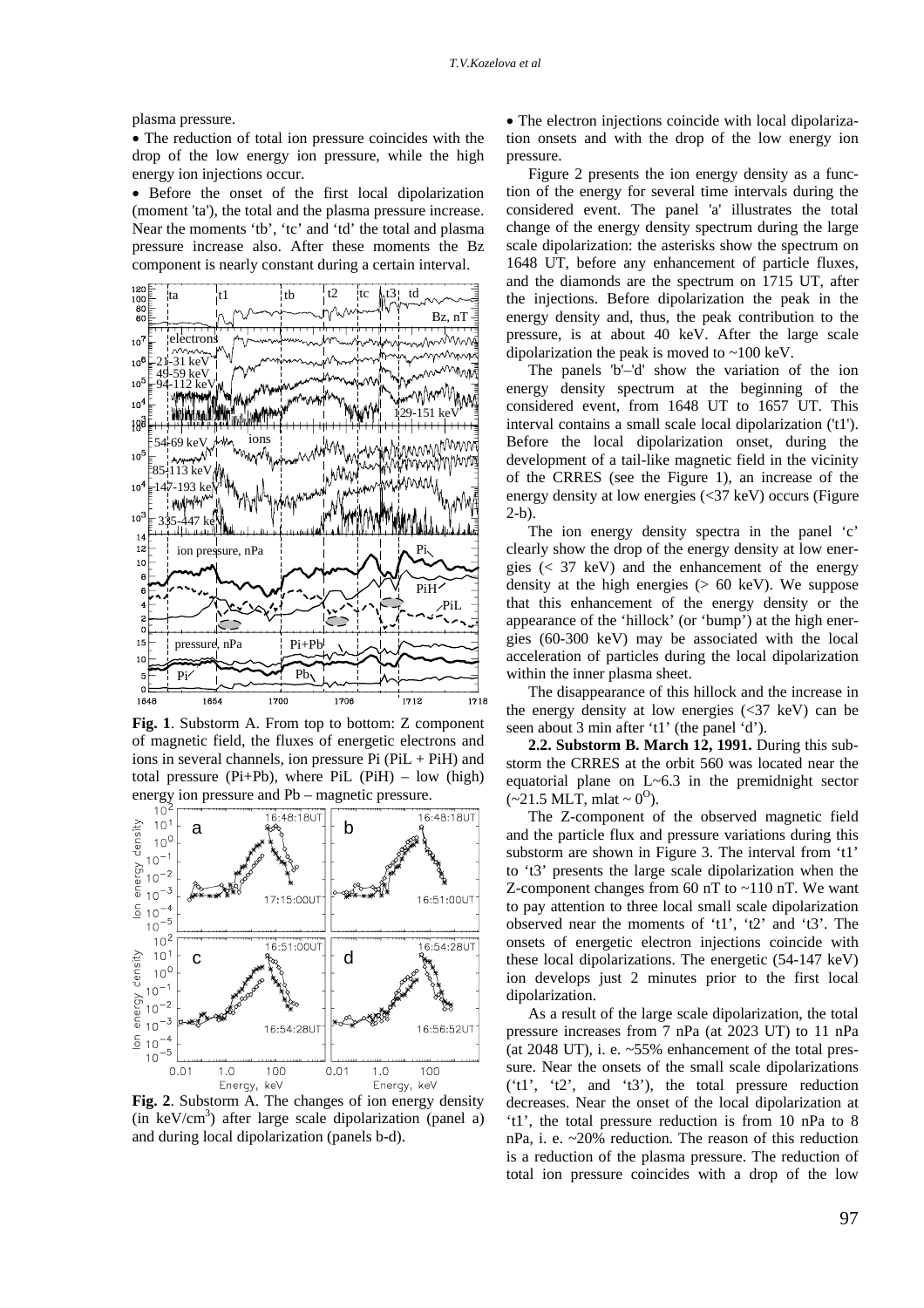plasma pressure.

• The reduction of total ion pressure coincides with the drop of the low energy ion pressure, while the high energy ion injections occur.

• Before the onset of the first local dipolarization (moment 'ta'), the total and the plasma pressure increase. Near the moments 'tb', 'tc' and 'td' the total and plasma pressure increase also. After these moments the Bz component is nearly constant during a certain interval.



**Fig. 1**. Substorm A. From top to bottom: Z component of magnetic field, the fluxes of energetic electrons and ions in several channels, ion pressure  $Pi$  ( $PiL + PiH$ ) and total pressure ( $Pi+Pb$ ), where  $Pi$  ( $Pi$ H) – low (high) energy ion pressure and Pb – magnetic pressure.



**Fig. 2**. Substorm A. The changes of ion energy density  $(in \ keV/cm<sup>3</sup>)$  after large scale dipolarization (panel a) and during local dipolarization (panels b-d).

• The electron injections coincide with local dipolarization onsets and with the drop of the low energy ion pressure.

Figure 2 presents the ion energy density as a function of the energy for several time intervals during the considered event. The panel 'a' illustrates the total change of the energy density spectrum during the large scale dipolarization: the asterisks show the spectrum on 1648 UT, before any enhancement of particle fluxes, and the diamonds are the spectrum on 1715 UT, after the injections. Before dipolarization the peak in the energy density and, thus, the peak contribution to the pressure, is at about 40 keV. After the large scale dipolarization the peak is moved to ~100 keV.

The panels 'b'–'d' show the variation of the ion energy density spectrum at the beginning of the considered event, from 1648 UT to 1657 UT. This interval contains a small scale local dipolarization ('t1'). Before the local dipolarization onset, during the development of a tail-like magnetic field in the vicinity of the CRRES (see the Figure 1), an increase of the energy density at low energies (<37 keV) occurs (Figure 2-b).

The ion energy density spectra in the panel 'c' clearly show the drop of the energy density at low energies  $( $37 \text{ keV}$ ) and the enhancement of the energy$ density at the high energies (> 60 keV). We suppose that this enhancement of the energy density or the appearance of the 'hillock' (or 'bump') at the high energies (60-300 keV) may be associated with the local acceleration of particles during the local dipolarization within the inner plasma sheet.

The disappearance of this hillock and the increase in the energy density at low energies  $\langle \langle 37 \text{ keV} \rangle$  can be seen about 3 min after 't1' (the panel 'd').

**2.2. Substorm B. March 12, 1991.** During this substorm the CRRES at the orbit 560 was located near the equatorial plane on L~6.3 in the premidnight sector  $(-21.5 \text{ MLT}, \text{mlat} \sim 0^0).$ 

The Z-component of the observed magnetic field and the particle flux and pressure variations during this substorm are shown in Figure 3. The interval from 't1' to 't3' presents the large scale dipolarization when the Z-component changes from 60 nT to ~110 nT. We want to pay attention to three local small scale dipolarization observed near the moments of 't1', 't2' and 't3'. The onsets of energetic electron injections coincide with these local dipolarizations. The energetic (54-147 keV) ion develops just 2 minutes prior to the first local dipolarization.

As a result of the large scale dipolarization, the total pressure increases from 7 nPa (at 2023 UT) to 11 nPa (at 2048 UT), i. e.  $\sim$  55% enhancement of the total pressure. Near the onsets of the small scale dipolarizations ('t1', 't2', and 't3'), the total pressure reduction decreases. Near the onset of the local dipolarization at 't1', the total pressure reduction is from 10 nPa to 8 nPa, i. e. ~20% reduction. The reason of this reduction is a reduction of the plasma pressure. The reduction of total ion pressure coincides with a drop of the low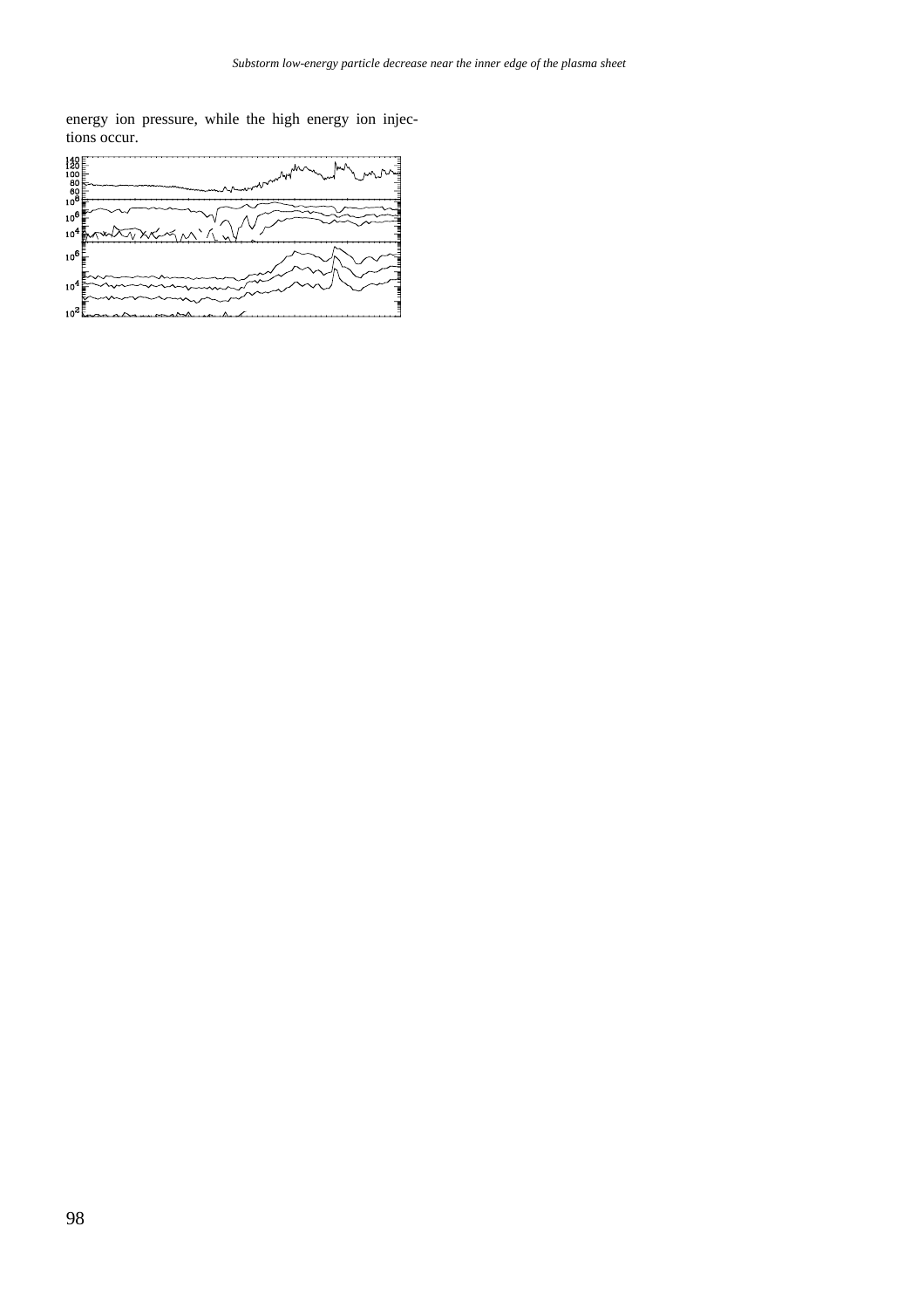energy ion pressure, while the high energy ion injections occur.



**Fig.3**. Substorm B. Shown in the same format as Fig.1.



**Fig. 4**. Substorm C. Shown in the same format as Fig. 1.

**2.3 Substorm C, March 6, 1991.** During this substorm the CRRES at the orbit 545 was located outside the equatorial plane on mlat =  $-7.2^{\circ}$  in the premidnight sector, ~21.5 MLT. The day of March 6, 1991, was characterized by long-lasting ground magnetic activity from 1530 UT to 2200 UT. The main substorm onset was at the moment  $\sim 2000$  UT. However, the first small substorm activation was observed with onset at 1635 UT. We analyze the magnetic field and variations of particle flux during this small substorm activation. Before the activation onset, the pitch-angle distributions

had a pancake form for the ions with the energies of 37- 69 keV and were nearly isotropic for the ions with the energies >69 keV.

Figure 4 presents the variations of the plasma and magnetic field pressure during the activation. From this figure one can see that the total pressure decreases from 15 nPa to ~12.5 nPa after the local dipolarization onset, i. e. ~16% reduction. A decrease of the ion fluxes at low energies makes the main contribution to the reduction of the total pressure.

**2.4. Substorm D, Feb 8-9, 1991.** During this substorm the CRRES at the orbit 482 was located near the equatorial plane on mlat =  $0.2^{\circ}$  in the postmidnight sector,  $\sim 0.3$  MLT. The ground magnetic activity is observed from ~2130 UT. The brightening of the aurora occurs at 2342 UT westward of the CRRES.

From Figure 5 one can see that the total pressure increases from 8 nPa before 't1' to ~11 nPa at the end of this time interval, i. e.  $\sim$ 37% enhancement of the total pressure occurs during a large scale dipolarization. A sole local dipolarization was observed at the moment 't1' simultaneously with the high energy electron injection. Near this moment the decrease of the total pressure was ~12%. A decrease of the ion fluxes at low energies gives the main contribution to the reduction of the total pressure after local dipolarization onset and an increase in the ion fluxes at high energies gives the main contribution in the increase of the total pressure at the end of the large scale dipolarization.



**Fig. 5**. Substorm D. Shown in the same format as Fig.1.

### **3 Discussion**

There have been very few direct measurements of the change in the equatorial plasma pressure within the near-Earth plasma sheet during substorms. In brief outline, the changes of the pressure obtained from different measurements can be considered depending on the satellite position relative to the substorm onset region.

For radial distances of less than 10  $R<sub>E</sub>$  the total pressure tends to increase with the injection, see [*Kistler et*